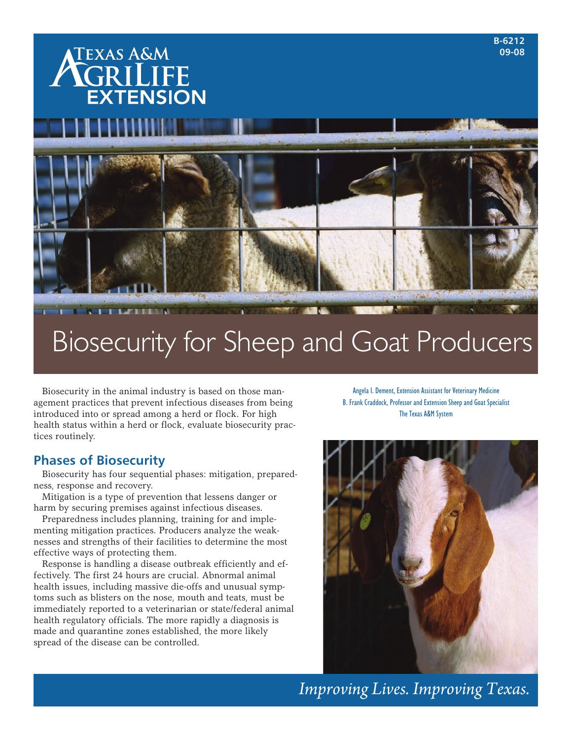

# Biosecurity for Sheep and Goat Producers

Biosecurity in the animal industry is based on those management practices that prevent infectious diseases from being introduced into or spread among a herd or flock. For high health status within a herd or flock, evaluate biosecurity practices routinely.

# **Phases of Biosecurity**

Biosecurity has four sequential phases: mitigation, preparedness, response and recovery.

Mitigation is a type of prevention that lessens danger or harm by securing premises against infectious diseases.

Preparedness includes planning, training for and implementing mitigation practices. Producers analyze the weaknesses and strengths of their facilities to determine the most effective ways of protecting them.

Response is handling a disease outbreak efficiently and effectively. The first 24 hours are crucial. Abnormal animal health issues, including massive die-offs and unusual symptoms such as blisters on the nose, mouth and teats, must be immediately reported to a veterinarian or state/federal animal health regulatory officials. The more rapidly a diagnosis is made and quarantine zones established, the more likely spread of the disease can be controlled.

Angela I. Dement, Extension Assistant for Veterinary Medicine B. Frank Craddock, Professor and Extension Sheep and Goat Specialist The Texas A&M System



*Improving Lives. Improving Texas.*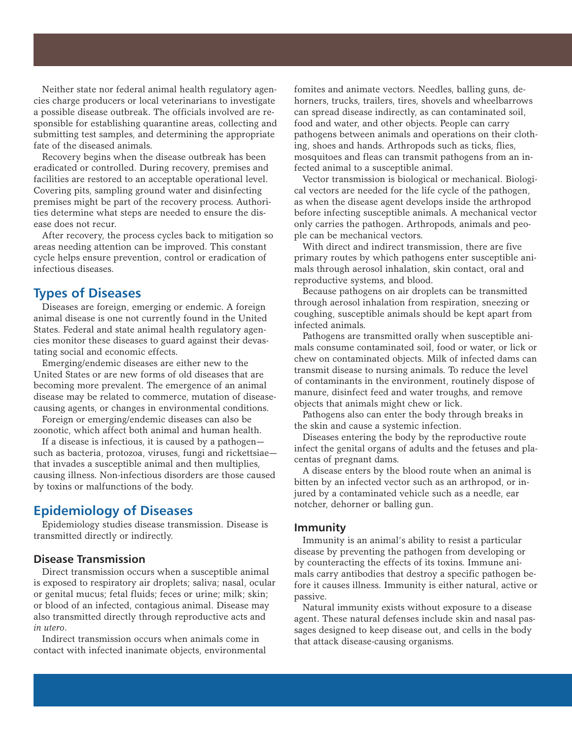Neither state nor federal animal health regulatory agencies charge producers or local veterinarians to investigate a possible disease outbreak. The officials involved are responsible for establishing quarantine areas, collecting and submitting test samples, and determining the appropriate fate of the diseased animals.

Recovery begins when the disease outbreak has been eradicated or controlled. During recovery, premises and facilities are restored to an acceptable operational level. Covering pits, sampling ground water and disinfecting premises might be part of the recovery process. Authorities determine what steps are needed to ensure the disease does not recur.

After recovery, the process cycles back to mitigation so areas needing attention can be improved. This constant cycle helps ensure prevention, control or eradication of infectious diseases.

# **Types of Diseases**

Diseases are foreign, emerging or endemic. A foreign animal disease is one not currently found in the United States. Federal and state animal health regulatory agencies monitor these diseases to guard against their devastating social and economic effects.

Emerging/endemic diseases are either new to the United States or are new forms of old diseases that are becoming more prevalent. The emergence of an animal disease may be related to commerce, mutation of diseasecausing agents, or changes in environmental conditions.

Foreign or emerging/endemic diseases can also be zoonotic, which affect both animal and human health.

If a disease is infectious, it is caused by a pathogen such as bacteria, protozoa, viruses, fungi and rickettsiae that invades a susceptible animal and then multiplies, causing illness. Non-infectious disorders are those caused by toxins or malfunctions of the body.

# **Epidemiology of Diseases**

Epidemiology studies disease transmission. Disease is transmitted directly or indirectly.

## **Disease Transmission**

Direct transmission occurs when a susceptible animal is exposed to respiratory air droplets; saliva; nasal, ocular or genital mucus; fetal fluids; feces or urine; milk; skin; or blood of an infected, contagious animal. Disease may also transmitted directly through reproductive acts and *in utero*.

Indirect transmission occurs when animals come in contact with infected inanimate objects, environmental fomites and animate vectors. Needles, balling guns, dehorners, trucks, trailers, tires, shovels and wheelbarrows can spread disease indirectly, as can contaminated soil, food and water, and other objects. People can carry pathogens between animals and operations on their clothing, shoes and hands. Arthropods such as ticks, flies, mosquitoes and fleas can transmit pathogens from an infected animal to a susceptible animal.

Vector transmission is biological or mechanical. Biological vectors are needed for the life cycle of the pathogen, as when the disease agent develops inside the arthropod before infecting susceptible animals. A mechanical vector only carries the pathogen. Arthropods, animals and people can be mechanical vectors.

With direct and indirect transmission, there are five primary routes by which pathogens enter susceptible animals through aerosol inhalation, skin contact, oral and reproductive systems, and blood.

Because pathogens on air droplets can be transmitted through aerosol inhalation from respiration, sneezing or coughing, susceptible animals should be kept apart from infected animals.

Pathogens are transmitted orally when susceptible animals consume contaminated soil, food or water, or lick or chew on contaminated objects. Milk of infected dams can transmit disease to nursing animals. To reduce the level of contaminants in the environment, routinely dispose of manure, disinfect feed and water troughs, and remove objects that animals might chew or lick.

Pathogens also can enter the body through breaks in the skin and cause a systemic infection.

Diseases entering the body by the reproductive route infect the genital organs of adults and the fetuses and placentas of pregnant dams.

A disease enters by the blood route when an animal is bitten by an infected vector such as an arthropod, or injured by a contaminated vehicle such as a needle, ear notcher, dehorner or balling gun.

#### **Immunity**

Immunity is an animal's ability to resist a particular disease by preventing the pathogen from developing or by counteracting the effects of its toxins. Immune animals carry antibodies that destroy a specific pathogen before it causes illness. Immunity is either natural, active or passive.

Natural immunity exists without exposure to a disease agent. These natural defenses include skin and nasal passages designed to keep disease out, and cells in the body that attack disease-causing organisms.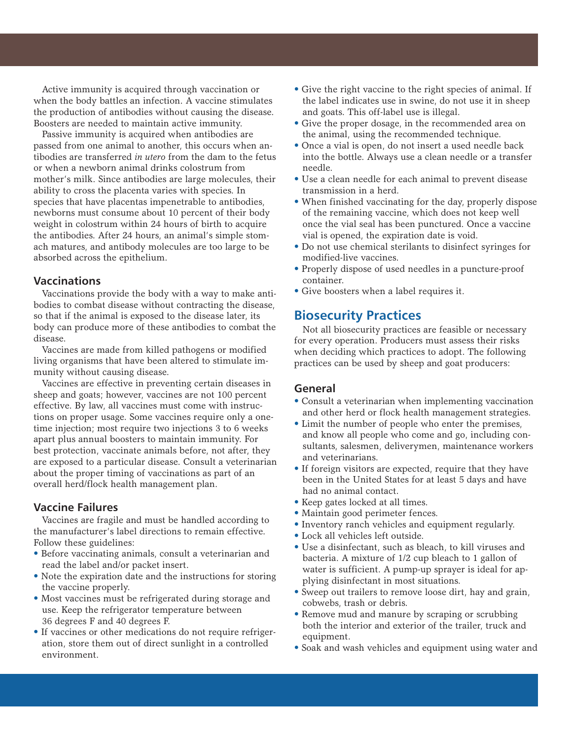Active immunity is acquired through vaccination or when the body battles an infection. A vaccine stimulates the production of antibodies without causing the disease. Boosters are needed to maintain active immunity.

Passive immunity is acquired when antibodies are passed from one animal to another, this occurs when antibodies are transferred *in utero* from the dam to the fetus or when a newborn animal drinks colostrum from mother's milk. Since antibodies are large molecules, their ability to cross the placenta varies with species. In species that have placentas impenetrable to antibodies, newborns must consume about 10 percent of their body weight in colostrum within 24 hours of birth to acquire the antibodies. After 24 hours, an animal's simple stomach matures, and antibody molecules are too large to be absorbed across the epithelium.

#### **Vaccinations**

Vaccinations provide the body with a way to make antibodies to combat disease without contracting the disease, so that if the animal is exposed to the disease later, its body can produce more of these antibodies to combat the disease.

Vaccines are made from killed pathogens or modified living organisms that have been altered to stimulate immunity without causing disease.

Vaccines are effective in preventing certain diseases in sheep and goats; however, vaccines are not 100 percent effective. By law, all vaccines must come with instructions on proper usage. Some vaccines require only a onetime injection; most require two injections 3 to 6 weeks apart plus annual boosters to maintain immunity. For best protection, vaccinate animals before, not after, they are exposed to a particular disease. Consult a veterinarian about the proper timing of vaccinations as part of an overall herd/flock health management plan.

### **Vaccine Failures**

Vaccines are fragile and must be handled according to the manufacturer's label directions to remain effective. Follow these guidelines:

- Before vaccinating animals, consult a veterinarian and read the label and/or packet insert.
- Note the expiration date and the instructions for storing the vaccine properly.
- Most vaccines must be refrigerated during storage and use. Keep the refrigerator temperature between 36 degrees F and 40 degrees F.
- If vaccines or other medications do not require refrigeration, store them out of direct sunlight in a controlled environment.
- Give the right vaccine to the right species of animal. If the label indicates use in swine, do not use it in sheep and goats. This off-label use is illegal.
- Give the proper dosage, in the recommended area on the animal, using the recommended technique.
- Once a vial is open, do not insert a used needle back into the bottle. Always use a clean needle or a transfer needle.
- Use a clean needle for each animal to prevent disease transmission in a herd.
- When finished vaccinating for the day, properly dispose of the remaining vaccine, which does not keep well once the vial seal has been punctured. Once a vaccine vial is opened, the expiration date is void.
- Do not use chemical sterilants to disinfect syringes for modified-live vaccines.
- Properly dispose of used needles in a puncture-proof container.
- Give boosters when a label requires it.

# **Biosecurity Practices**

Not all biosecurity practices are feasible or necessary for every operation. Producers must assess their risks when deciding which practices to adopt. The following practices can be used by sheep and goat producers:

## **General**

- Consult a veterinarian when implementing vaccination and other herd or flock health management strategies.
- Limit the number of people who enter the premises, and know all people who come and go, including consultants, salesmen, deliverymen, maintenance workers and veterinarians.
- If foreign visitors are expected, require that they have been in the United States for at least 5 days and have had no animal contact.
- Keep gates locked at all times.
- Maintain good perimeter fences.
- Inventory ranch vehicles and equipment regularly.
- Lock all vehicles left outside.
- Use a disinfectant, such as bleach, to kill viruses and bacteria. A mixture of 1/2 cup bleach to 1 gallon of water is sufficient. A pump-up sprayer is ideal for applying disinfectant in most situations.
- Sweep out trailers to remove loose dirt, hay and grain, cobwebs, trash or debris.
- Remove mud and manure by scraping or scrubbing both the interior and exterior of the trailer, truck and equipment.
- Soak and wash vehicles and equipment using water and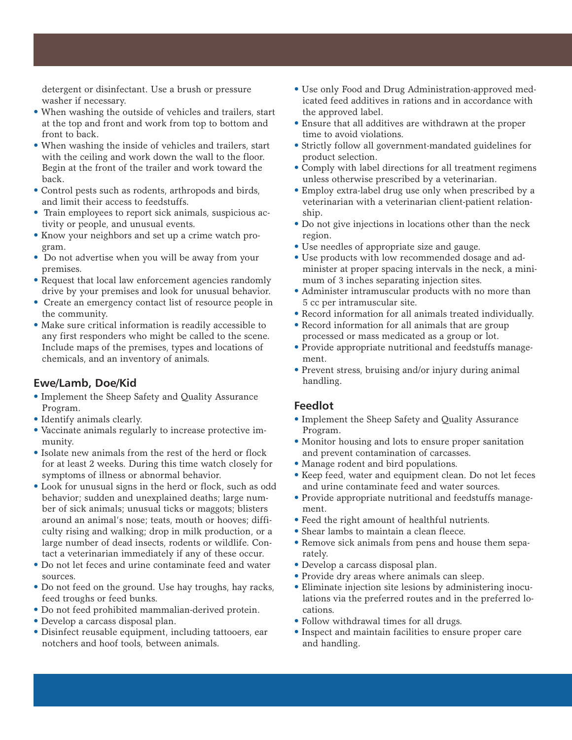detergent or disinfectant. Use a brush or pressure washer if necessary.

- When washing the outside of vehicles and trailers, start at the top and front and work from top to bottom and front to back.
- When washing the inside of vehicles and trailers, start with the ceiling and work down the wall to the floor. Begin at the front of the trailer and work toward the back.
- Control pests such as rodents, arthropods and birds, and limit their access to feedstuffs.
- Train employees to report sick animals, suspicious activity or people, and unusual events.
- Know your neighbors and set up a crime watch program.
- Do not advertise when you will be away from your premises.
- Request that local law enforcement agencies randomly drive by your premises and look for unusual behavior.
- Create an emergency contact list of resource people in the community.
- Make sure critical information is readily accessible to any first responders who might be called to the scene. Include maps of the premises, types and locations of chemicals, and an inventory of animals.

# **Ewe/Lamb, Doe/Kid**

- Implement the Sheep Safety and Quality Assurance Program.
- Identify animals clearly.
- Vaccinate animals regularly to increase protective immunity.
- Isolate new animals from the rest of the herd or flock for at least 2 weeks. During this time watch closely for symptoms of illness or abnormal behavior.
- Look for unusual signs in the herd or flock, such as odd behavior; sudden and unexplained deaths; large number of sick animals; unusual ticks or maggots; blisters around an animal's nose; teats, mouth or hooves; difficulty rising and walking; drop in milk production, or a large number of dead insects, rodents or wildlife. Contact a veterinarian immediately if any of these occur.
- Do not let feces and urine contaminate feed and water sources.
- Do not feed on the ground. Use hay troughs, hay racks, feed troughs or feed bunks.
- Do not feed prohibited mammalian-derived protein.
- Develop a carcass disposal plan.
- Disinfect reusable equipment, including tattooers, ear notchers and hoof tools, between animals.
- Use only Food and Drug Administration-approved medicated feed additives in rations and in accordance with the approved label.
- Ensure that all additives are withdrawn at the proper time to avoid violations.
- Strictly follow all government-mandated guidelines for product selection.
- Comply with label directions for all treatment regimens unless otherwise prescribed by a veterinarian.
- Employ extra-label drug use only when prescribed by a veterinarian with a veterinarian client-patient relationship.
- Do not give injections in locations other than the neck region.
- Use needles of appropriate size and gauge.
- Use products with low recommended dosage and administer at proper spacing intervals in the neck, a minimum of 3 inches separating injection sites.
- Administer intramuscular products with no more than 5 cc per intramuscular site.
- Record information for all animals treated individually.
- Record information for all animals that are group processed or mass medicated as a group or lot.
- Provide appropriate nutritional and feedstuffs management.
- Prevent stress, bruising and/or injury during animal handling.

# **Feedlot**

- Implement the Sheep Safety and Quality Assurance Program.
- Monitor housing and lots to ensure proper sanitation and prevent contamination of carcasses.
- Manage rodent and bird populations.
- Keep feed, water and equipment clean. Do not let feces and urine contaminate feed and water sources.
- Provide appropriate nutritional and feedstuffs management.
- Feed the right amount of healthful nutrients.
- Shear lambs to maintain a clean fleece.
- Remove sick animals from pens and house them separately.
- Develop a carcass disposal plan.
- Provide dry areas where animals can sleep.
- Eliminate injection site lesions by administering inoculations via the preferred routes and in the preferred locations.
- Follow withdrawal times for all drugs.
- Inspect and maintain facilities to ensure proper care and handling.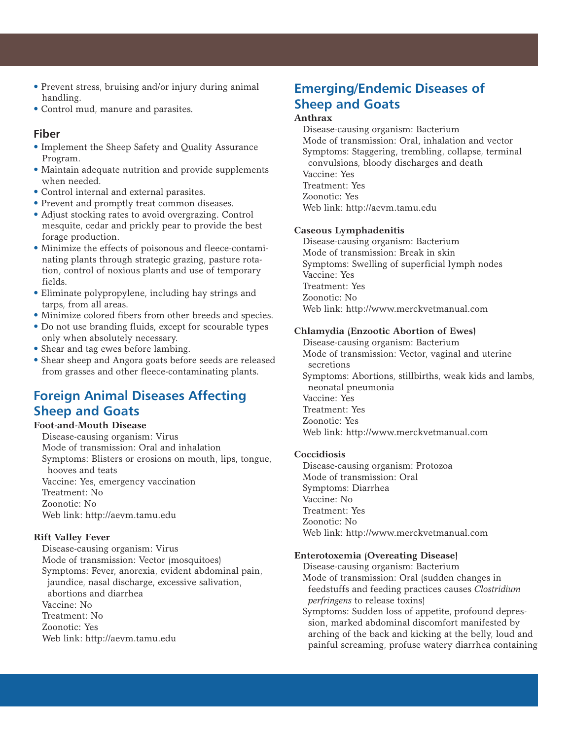- Prevent stress, bruising and/or injury during animal handling.
- Control mud, manure and parasites.

## **Fiber**

- Implement the Sheep Safety and Quality Assurance Program.
- Maintain adequate nutrition and provide supplements when needed.
- Control internal and external parasites.
- Prevent and promptly treat common diseases.
- Adjust stocking rates to avoid overgrazing. Control mesquite, cedar and prickly pear to provide the best forage production.
- Minimize the effects of poisonous and fleece-contaminating plants through strategic grazing, pasture rotation, control of noxious plants and use of temporary fields.
- Eliminate polypropylene, including hay strings and tarps, from all areas.
- Minimize colored fibers from other breeds and species.
- Do not use branding fluids, except for scourable types only when absolutely necessary.
- Shear and tag ewes before lambing.
- Shear sheep and Angora goats before seeds are released from grasses and other fleece-contaminating plants.

# **Foreign Animal Diseases Affecting Sheep and Goats**

#### **Foot-and-Mouth Disease**

Disease-causing organism: Virus Mode of transmission: Oral and inhalation Symptoms: Blisters or erosions on mouth, lips, tongue, hooves and teats Vaccine: Yes, emergency vaccination Treatment: No Zoonotic: No Web link: http://aevm.tamu.edu

#### **Rift Valley Fever**

Disease-causing organism: Virus Mode of transmission: Vector (mosquitoes) Symptoms: Fever, anorexia, evident abdominal pain, jaundice, nasal discharge, excessive salivation, abortions and diarrhea Vaccine: No Treatment: No Zoonotic: Yes Web link: http://aevm.tamu.edu

# **Emerging/Endemic Diseases of Sheep and Goats**

#### **Anthrax**

Disease-causing organism: Bacterium Mode of transmission: Oral, inhalation and vector Symptoms: Staggering, trembling, collapse, terminal convulsions, bloody discharges and death Vaccine: Yes Treatment: Yes Zoonotic: Yes

Web link: http://aevm.tamu.edu

#### **Caseous Lymphadenitis**

Disease-causing organism: Bacterium Mode of transmission: Break in skin Symptoms: Swelling of superficial lymph nodes Vaccine: Yes Treatment: Yes Zoonotic: No Web link: http://www.merckvetmanual.com

#### **Chlamydia (Enzootic Abortion of Ewes)**

Disease-causing organism: Bacterium Mode of transmission: Vector, vaginal and uterine secretions Symptoms: Abortions, stillbirths, weak kids and lambs, neonatal pneumonia Vaccine: Yes Treatment: Yes Zoonotic: Yes

Web link: http://www.merckvetmanual.com

#### **Coccidiosis**

Disease-causing organism: Protozoa Mode of transmission: Oral Symptoms: Diarrhea Vaccine: No Treatment: Yes Zoonotic: No Web link: http://www.merckvetmanual.com

#### **Enterotoxemia (Overeating Disease)**

Disease-causing organism: Bacterium Mode of transmission: Oral (sudden changes in feedstuffs and feeding practices causes *Clostridium perfringens* to release toxins)

Symptoms: Sudden loss of appetite, profound depression, marked abdominal discomfort manifested by arching of the back and kicking at the belly, loud and painful screaming, profuse watery diarrhea containing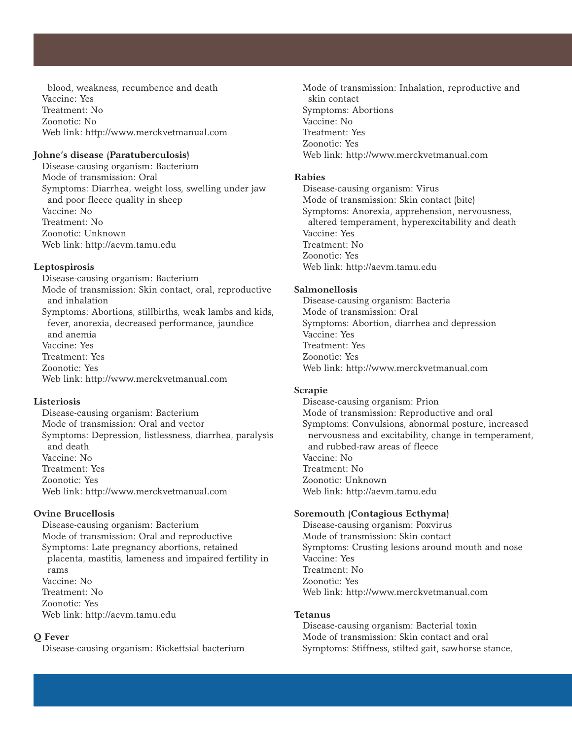blood, weakness, recumbence and death Vaccine: Yes Treatment: No Zoonotic: No Web link: http://www.merckvetmanual.com

#### **Johne's disease (Paratuberculosis)**

Disease-causing organism: Bacterium Mode of transmission: Oral Symptoms: Diarrhea, weight loss, swelling under jaw and poor fleece quality in sheep Vaccine: No Treatment: No Zoonotic: Unknown Web link: http://aevm.tamu.edu

#### **Leptospirosis**

Disease-causing organism: Bacterium Mode of transmission: Skin contact, oral, reproductive and inhalation Symptoms: Abortions, stillbirths, weak lambs and kids, fever, anorexia, decreased performance, jaundice and anemia Vaccine: Yes Treatment: Yes Zoonotic: Yes Web link: http://www.merckvetmanual.com

#### **Listeriosis**

Disease-causing organism: Bacterium Mode of transmission: Oral and vector Symptoms: Depression, listlessness, diarrhea, paralysis and death Vaccine: No Treatment: Yes Zoonotic: Yes Web link: http://www.merckvetmanual.com

#### **Ovine Brucellosis**

Disease-causing organism: Bacterium Mode of transmission: Oral and reproductive Symptoms: Late pregnancy abortions, retained placenta, mastitis, lameness and impaired fertility in rams Vaccine: No Treatment: No Zoonotic: Yes Web link: http://aevm.tamu.edu

## **Q Fever**

Disease-causing organism: Rickettsial bacterium

Mode of transmission: Inhalation, reproductive and skin contact Symptoms: Abortions Vaccine: No Treatment: Yes Zoonotic: Yes

# Web link: http://www.merckvetmanual.com

#### **Rabies**

Disease-causing organism: Virus Mode of transmission: Skin contact (bite) Symptoms: Anorexia, apprehension, nervousness, altered temperament, hyperexcitability and death Vaccine: Yes Treatment: No Zoonotic: Yes Web link: http://aevm.tamu.edu

#### **Salmonellosis**

Disease-causing organism: Bacteria Mode of transmission: Oral Symptoms: Abortion, diarrhea and depression Vaccine: Yes Treatment: Yes Zoonotic: Yes Web link: http://www.merckvetmanual.com

#### **Scrapie**

Disease-causing organism: Prion Mode of transmission: Reproductive and oral Symptoms: Convulsions, abnormal posture, increased nervousness and excitability, change in temperament, and rubbed-raw areas of fleece Vaccine: No Treatment: No Zoonotic: Unknown Web link: http://aevm.tamu.edu

#### **Soremouth (Contagious Ecthyma)**

Disease-causing organism: Poxvirus Mode of transmission: Skin contact Symptoms: Crusting lesions around mouth and nose Vaccine: Yes Treatment: No Zoonotic: Yes Web link: http://www.merckvetmanual.com

#### **Tetanus**

Disease-causing organism: Bacterial toxin Mode of transmission: Skin contact and oral Symptoms: Stiffness, stilted gait, sawhorse stance,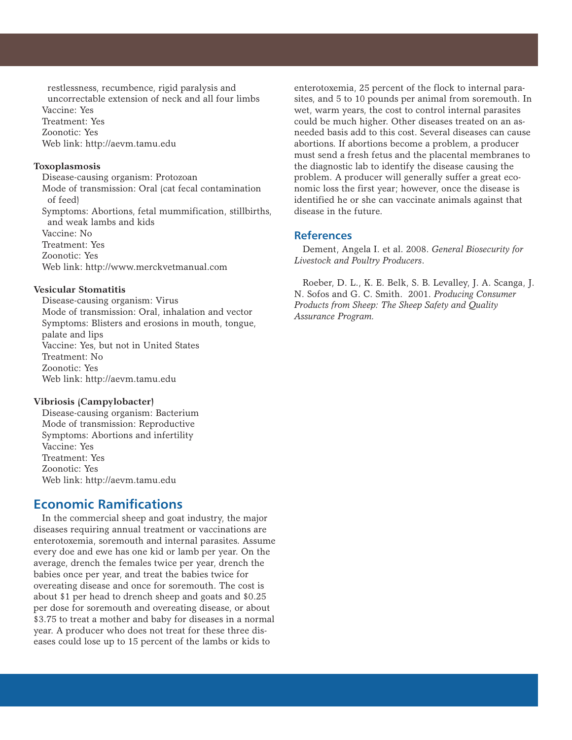restlessness, recumbence, rigid paralysis and uncorrectable extension of neck and all four limbs Vaccine: Yes Treatment: Yes Zoonotic: Yes Web link: http://aevm.tamu.edu

#### **Toxoplasmosis**

Disease-causing organism: Protozoan Mode of transmission: Oral (cat fecal contamination of feed) Symptoms: Abortions, fetal mummification, stillbirths, and weak lambs and kids Vaccine: No Treatment: Yes Zoonotic: Yes Web link: http://www.merckvetmanual.com

#### **Vesicular Stomatitis**

Disease-causing organism: Virus Mode of transmission: Oral, inhalation and vector Symptoms: Blisters and erosions in mouth, tongue, palate and lips Vaccine: Yes, but not in United States Treatment: No Zoonotic: Yes Web link: http://aevm.tamu.edu

#### **Vibriosis (Campylobacter)**

Disease-causing organism: Bacterium Mode of transmission: Reproductive Symptoms: Abortions and infertility Vaccine: Yes Treatment: Yes Zoonotic: Yes Web link: http://aevm.tamu.edu

# **Economic Ramifications**

In the commercial sheep and goat industry, the major diseases requiring annual treatment or vaccinations are enterotoxemia, soremouth and internal parasites. Assume every doe and ewe has one kid or lamb per year. On the average, drench the females twice per year, drench the babies once per year, and treat the babies twice for overeating disease and once for soremouth. The cost is about \$1 per head to drench sheep and goats and \$0.25 per dose for soremouth and overeating disease, or about \$3.75 to treat a mother and baby for diseases in a normal year. A producer who does not treat for these three diseases could lose up to 15 percent of the lambs or kids to

enterotoxemia, 25 percent of the flock to internal parasites, and 5 to 10 pounds per animal from soremouth. In wet, warm years, the cost to control internal parasites could be much higher. Other diseases treated on an asneeded basis add to this cost. Several diseases can cause abortions. If abortions become a problem, a producer must send a fresh fetus and the placental membranes to the diagnostic lab to identify the disease causing the problem. A producer will generally suffer a great economic loss the first year; however, once the disease is identified he or she can vaccinate animals against that disease in the future.

## **References**

Dement, Angela I. et al. 2008. *General Biosecurity for Livestock and Poultry Producers*.

Roeber, D. L., K. E. Belk, S. B. Levalley, J. A. Scanga, J. N. Sofos and G. C. Smith. 2001. *Producing Consumer Products from Sheep: The Sheep Safety and Quality Assurance Program.*